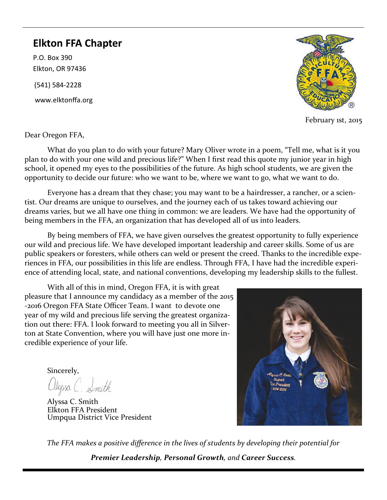## **Elkton FFA Chapter**

P.O. Box 390 Elkton, OR 97436

(541) 584-2228

www.elktonffa.org



February 1st, 2015

Dear Oregon FFA,

What do you plan to do with your future? Mary Oliver wrote in a poem, "Tell me, what is it you plan to do with your one wild and precious life?" When I first read this quote my junior year in high school, it opened my eyes to the possibilities of the future. As high school students, we are given the opportunity to decide our future: who we want to be, where we want to go, what we want to do.

Everyone has a dream that they chase; you may want to be a hairdresser, a rancher, or a scientist. Our dreams are unique to ourselves, and the journey each of us takes toward achieving our dreams varies, but we all have one thing in common: we are leaders. We have had the opportunity of being members in the FFA, an organization that has developed all of us into leaders.

By being members of FFA, we have given ourselves the greatest opportunity to fully experience our wild and precious life. We have developed important leadership and career skills. Some of us are public speakers or foresters, while others can weld or present the creed. Thanks to the incredible experiences in FFA, our possibilities in this life are endless. Through FFA, I have had the incredible experience of attending local, state, and national conventions, developing my leadership skills to the fullest.

With all of this in mind, Oregon FFA, it is with great pleasure that I announce my candidacy as a member of the 2015 -2016 Oregon FFA State Officer Team. I want to devote one year of my wild and precious life serving the greatest organization out there: FFA. I look forward to meeting you all in Silverton at State Convention, where you will have just one more incredible experience of your life.

Sincerely,

alyssa C. Smith

Alyssa C. Smith Elkton FFA President Umpqua District Vice President



*The FFA makes a positive difference in the lives of students by developing their potential for* 

*Premier Leadership, Personal Growth, and Career Success.*